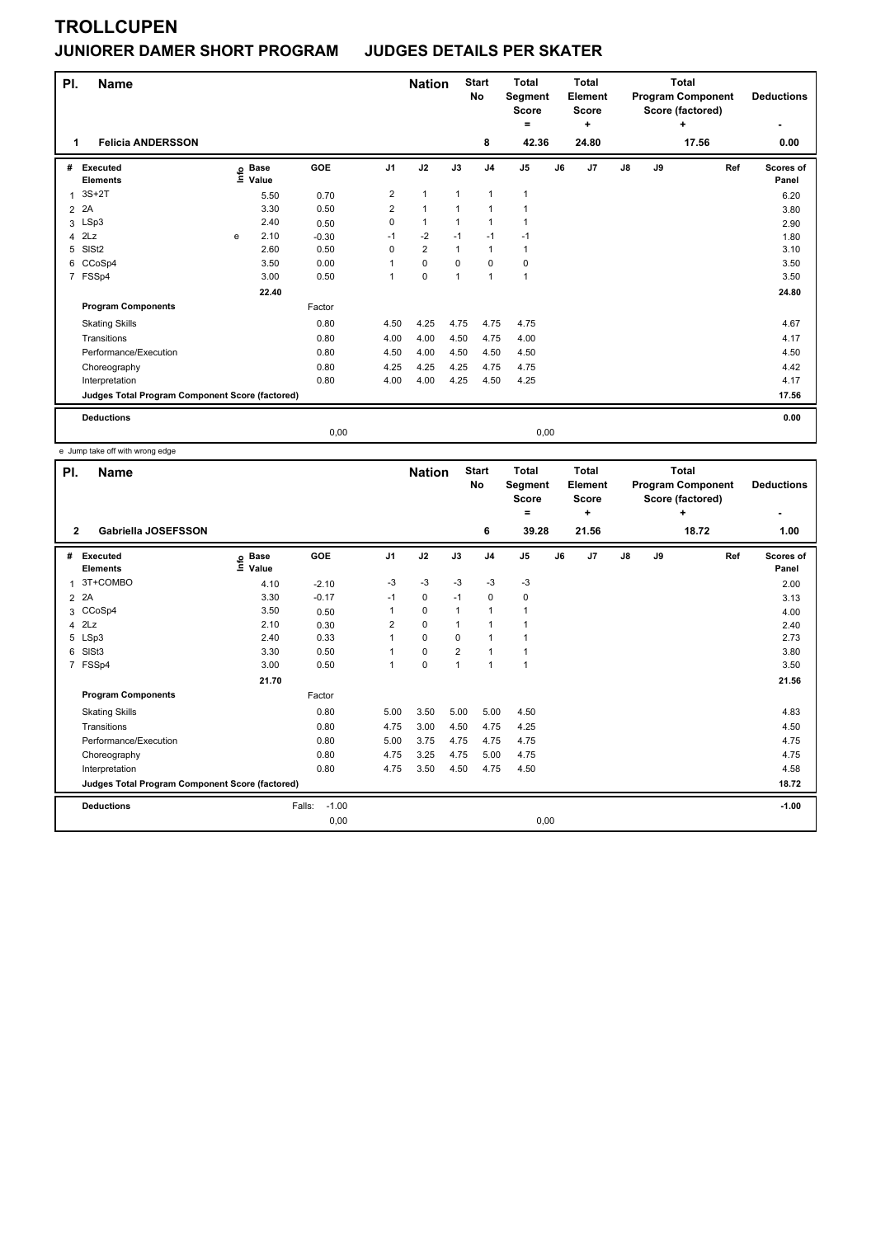## **JUNIORER DAMER SHORT PROGRAM JUDGES DETAILS PER SKATER**

| PI.            | <b>Name</b><br><b>Felicia ANDERSSON</b>         |   |                   |         |                | <b>Nation</b>  |              | <b>Start</b><br><b>No</b> | <b>Total</b><br>Segment<br><b>Score</b><br>۰<br>42.36 |    | <b>Total</b><br>Element<br><b>Score</b><br>٠<br>24.80 |    |    | <b>Total</b><br><b>Program Component</b><br>Score (factored)<br>÷<br>17.56 | <b>Deductions</b>  |
|----------------|-------------------------------------------------|---|-------------------|---------|----------------|----------------|--------------|---------------------------|-------------------------------------------------------|----|-------------------------------------------------------|----|----|----------------------------------------------------------------------------|--------------------|
| 1              |                                                 |   |                   |         |                |                |              | 8                         |                                                       |    |                                                       |    |    |                                                                            | 0.00               |
| #              | Executed<br><b>Elements</b>                     |   | e Base<br>⊑ Value | GOE     | J <sub>1</sub> | J2             | J3           | J <sub>4</sub>            | J <sub>5</sub>                                        | J6 | J7                                                    | J8 | J9 | Ref                                                                        | Scores of<br>Panel |
| 1              | $3S+2T$                                         |   | 5.50              | 0.70    | 2              | $\mathbf{1}$   | 1            | $\mathbf{1}$              | 1                                                     |    |                                                       |    |    |                                                                            | 6.20               |
| $\overline{2}$ | 2A                                              |   | 3.30              | 0.50    | $\overline{2}$ | $\mathbf{1}$   | $\mathbf{1}$ | 1                         | 1                                                     |    |                                                       |    |    |                                                                            | 3.80               |
| 3              | LSp3                                            |   | 2.40              | 0.50    | $\Omega$       | $\mathbf{1}$   | $\mathbf{1}$ | $\overline{1}$            |                                                       |    |                                                       |    |    |                                                                            | 2.90               |
| 4              | 2Lz                                             | e | 2.10              | $-0.30$ | $-1$           | $-2$           | $-1$         | $-1$                      | $-1$                                                  |    |                                                       |    |    |                                                                            | 1.80               |
| 5              | SISt <sub>2</sub>                               |   | 2.60              | 0.50    | 0              | $\overline{2}$ | $\mathbf{1}$ | 1                         | 1                                                     |    |                                                       |    |    |                                                                            | 3.10               |
| 6              | CCoSp4                                          |   | 3.50              | 0.00    | 1              | 0              | $\Omega$     | $\mathbf 0$               | 0                                                     |    |                                                       |    |    |                                                                            | 3.50               |
|                | 7 FSSp4                                         |   | 3.00              | 0.50    | 1              | $\mathbf 0$    | 1            | $\overline{1}$            | 1                                                     |    |                                                       |    |    |                                                                            | 3.50               |
|                |                                                 |   | 22.40             |         |                |                |              |                           |                                                       |    |                                                       |    |    |                                                                            | 24.80              |
|                | <b>Program Components</b>                       |   |                   | Factor  |                |                |              |                           |                                                       |    |                                                       |    |    |                                                                            |                    |
|                | <b>Skating Skills</b>                           |   |                   | 0.80    | 4.50           | 4.25           | 4.75         | 4.75                      | 4.75                                                  |    |                                                       |    |    |                                                                            | 4.67               |
|                | Transitions                                     |   |                   | 0.80    | 4.00           | 4.00           | 4.50         | 4.75                      | 4.00                                                  |    |                                                       |    |    |                                                                            | 4.17               |
|                | Performance/Execution                           |   |                   | 0.80    | 4.50           | 4.00           | 4.50         | 4.50                      | 4.50                                                  |    |                                                       |    |    |                                                                            | 4.50               |
|                | Choreography                                    |   |                   | 0.80    | 4.25           | 4.25           | 4.25         | 4.75                      | 4.75                                                  |    |                                                       |    |    |                                                                            | 4.42               |
|                | Interpretation                                  |   |                   | 0.80    | 4.00           | 4.00           | 4.25         | 4.50                      | 4.25                                                  |    |                                                       |    |    |                                                                            | 4.17               |
|                | Judges Total Program Component Score (factored) |   |                   |         |                |                |              |                           |                                                       |    |                                                       |    |    |                                                                            | 17.56              |
|                | <b>Deductions</b>                               |   |                   |         |                |                |              |                           |                                                       |    |                                                       |    |    |                                                                            | 0.00               |
|                |                                                 |   |                   | 0,00    |                |                |              |                           | 0,00                                                  |    |                                                       |    |    |                                                                            |                    |

e Jump take off with wrong edge

| PI.            | <b>Name</b>                                     |                              |                   |                | <b>Nation</b> |                | <b>Start</b><br>No | <b>Total</b><br>Segment<br>Score |    | <b>Total</b><br>Element<br><b>Score</b> |               |    | <b>Total</b><br><b>Program Component</b><br>Score (factored) |     | <b>Deductions</b>  |
|----------------|-------------------------------------------------|------------------------------|-------------------|----------------|---------------|----------------|--------------------|----------------------------------|----|-----------------------------------------|---------------|----|--------------------------------------------------------------|-----|--------------------|
|                |                                                 |                              |                   |                |               |                |                    | ۰                                |    | ÷                                       |               |    | ÷                                                            |     | ۰                  |
| $\mathbf{2}$   | Gabriella JOSEFSSON                             |                              |                   |                |               |                | 6                  | 39.28                            |    | 21.56                                   |               |    | 18.72                                                        |     | 1.00               |
| #              | Executed<br><b>Elements</b>                     | <b>Base</b><br>١nfo<br>Value | GOE               | J <sub>1</sub> | J2            | J3             | J <sub>4</sub>     | J <sub>5</sub>                   | J6 | J7                                      | $\mathsf{J}8$ | J9 |                                                              | Ref | Scores of<br>Panel |
| $\overline{1}$ | 3T+COMBO                                        | 4.10                         | $-2.10$           | $-3$           | $-3$          | $-3$           | $-3$               | $-3$                             |    |                                         |               |    |                                                              |     | 2.00               |
| $\overline{2}$ | 2A                                              | 3.30                         | $-0.17$           | $-1$           | 0             | $-1$           | 0                  | 0                                |    |                                         |               |    |                                                              |     | 3.13               |
| 3              | CCoSp4                                          | 3.50                         | 0.50              | 1              | $\pmb{0}$     |                | $\mathbf{1}$       | 1                                |    |                                         |               |    |                                                              |     | 4.00               |
| 4              | 2Lz                                             | 2.10                         | 0.30              | $\overline{2}$ | $\mathbf 0$   |                | $\mathbf{1}$       | 1                                |    |                                         |               |    |                                                              |     | 2.40               |
| 5              | LSp3                                            | 2.40                         | 0.33              |                | $\mathbf 0$   | $\Omega$       | $\overline{1}$     |                                  |    |                                         |               |    |                                                              |     | 2.73               |
| 6              | SISt <sub>3</sub>                               | 3.30                         | 0.50              |                | $\mathbf 0$   | $\overline{2}$ | $\overline{1}$     |                                  |    |                                         |               |    |                                                              |     | 3.80               |
| $\overline{7}$ | FSSp4                                           | 3.00                         | 0.50              | 1              | $\mathbf 0$   | 1              | $\mathbf{1}$       | $\overline{1}$                   |    |                                         |               |    |                                                              |     | 3.50               |
|                |                                                 | 21.70                        |                   |                |               |                |                    |                                  |    |                                         |               |    |                                                              |     | 21.56              |
|                | <b>Program Components</b>                       |                              | Factor            |                |               |                |                    |                                  |    |                                         |               |    |                                                              |     |                    |
|                | <b>Skating Skills</b>                           |                              | 0.80              | 5.00           | 3.50          | 5.00           | 5.00               | 4.50                             |    |                                         |               |    |                                                              |     | 4.83               |
|                | Transitions                                     |                              | 0.80              | 4.75           | 3.00          | 4.50           | 4.75               | 4.25                             |    |                                         |               |    |                                                              |     | 4.50               |
|                | Performance/Execution                           |                              | 0.80              | 5.00           | 3.75          | 4.75           | 4.75               | 4.75                             |    |                                         |               |    |                                                              |     | 4.75               |
|                | Choreography                                    |                              | 0.80              | 4.75           | 3.25          | 4.75           | 5.00               | 4.75                             |    |                                         |               |    |                                                              |     | 4.75               |
|                | Interpretation                                  |                              | 0.80              | 4.75           | 3.50          | 4.50           | 4.75               | 4.50                             |    |                                         |               |    |                                                              |     | 4.58               |
|                | Judges Total Program Component Score (factored) |                              |                   |                |               |                |                    |                                  |    |                                         |               |    |                                                              |     | 18.72              |
|                | <b>Deductions</b>                               |                              | $-1.00$<br>Falls: |                |               |                |                    |                                  |    |                                         |               |    |                                                              |     | $-1.00$            |
|                |                                                 |                              | 0,00              |                |               |                |                    | 0,00                             |    |                                         |               |    |                                                              |     |                    |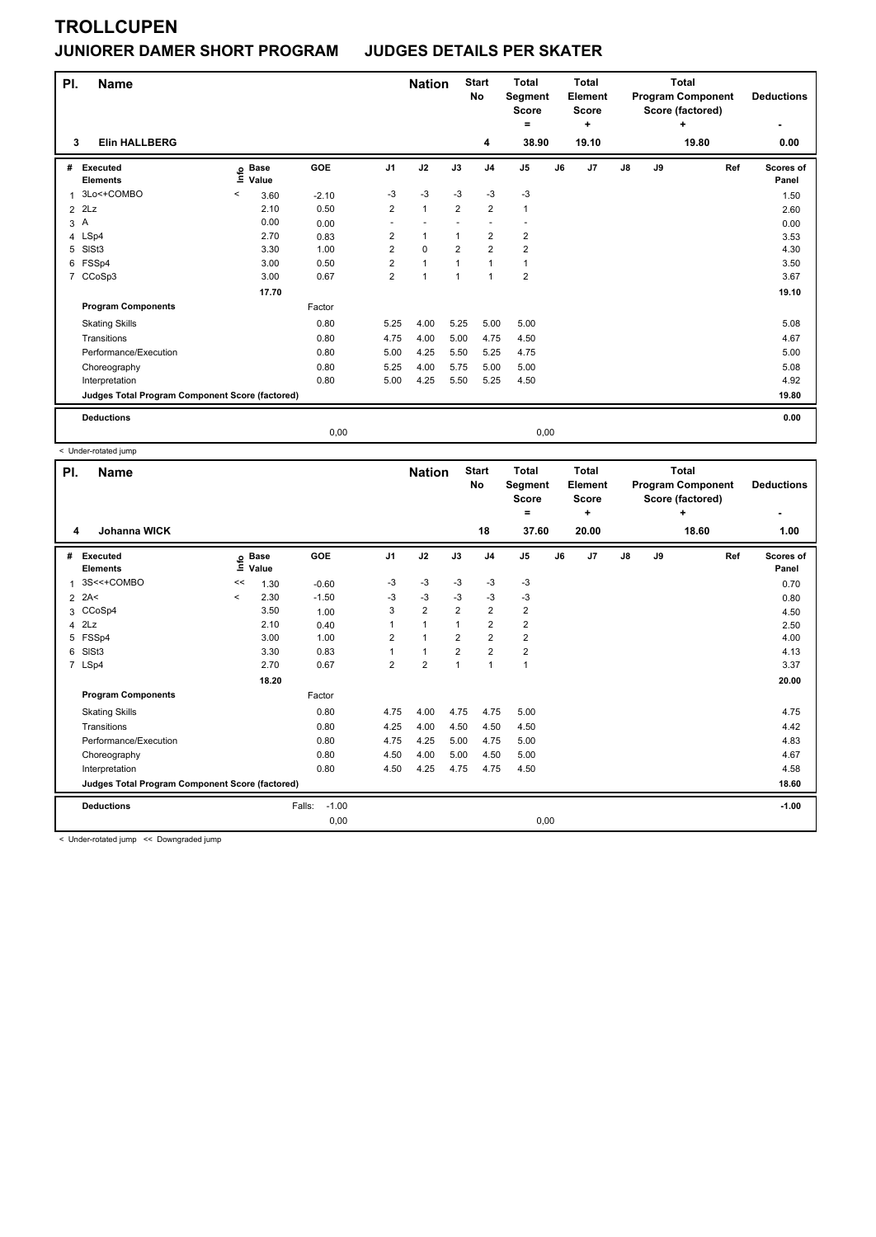### **JUNIORER DAMER SHORT PROGRAM JUDGES DETAILS PER SKATER**

| PI.            | <b>Name</b>                                     |       |                      |            |                | <b>Nation</b> |                | <b>Start</b><br><b>No</b> | <b>Total</b><br>Segment<br><b>Score</b><br>۰ |      | <b>Total</b><br><b>Element</b><br><b>Score</b><br>٠ |               |    | <b>Total</b><br><b>Program Component</b><br>Score (factored)<br>÷ | <b>Deductions</b><br>٠ |
|----------------|-------------------------------------------------|-------|----------------------|------------|----------------|---------------|----------------|---------------------------|----------------------------------------------|------|-----------------------------------------------------|---------------|----|-------------------------------------------------------------------|------------------------|
| 3              | <b>Elin HALLBERG</b>                            |       |                      |            |                |               |                | 4                         | 38.90                                        |      | 19.10                                               |               |    | 19.80                                                             | 0.00                   |
| #              | <b>Executed</b><br><b>Elements</b>              | lnfo  | <b>Base</b><br>Value | <b>GOE</b> | J <sub>1</sub> | J2            | J3             | J <sub>4</sub>            | J <sub>5</sub>                               | J6   | J <sub>7</sub>                                      | $\mathsf{J}8$ | J9 | Ref                                                               | Scores of<br>Panel     |
| 1              | 3Lo<+COMBO                                      | $\,<$ | 3.60                 | $-2.10$    | $-3$           | $-3$          | $-3$           | $-3$                      | $-3$                                         |      |                                                     |               |    |                                                                   | 1.50                   |
| $\overline{2}$ | 2Lz                                             |       | 2.10                 | 0.50       | $\overline{2}$ | $\mathbf{1}$  | $\overline{2}$ | $\overline{2}$            | 1                                            |      |                                                     |               |    |                                                                   | 2.60                   |
| 3A             |                                                 |       | 0.00                 | 0.00       |                |               |                |                           |                                              |      |                                                     |               |    |                                                                   | 0.00                   |
|                | 4 LSp4                                          |       | 2.70                 | 0.83       | $\overline{2}$ | $\mathbf{1}$  | $\mathbf{1}$   | $\overline{\mathbf{c}}$   | $\overline{2}$                               |      |                                                     |               |    |                                                                   | 3.53                   |
| 5              | SISt3                                           |       | 3.30                 | 1.00       | $\overline{2}$ | $\mathbf 0$   | $\overline{2}$ | $\overline{2}$            | $\overline{2}$                               |      |                                                     |               |    |                                                                   | 4.30                   |
| 6              | FSSp4                                           |       | 3.00                 | 0.50       | $\overline{2}$ | $\mathbf{1}$  | $\overline{1}$ | $\mathbf{1}$              | 1                                            |      |                                                     |               |    |                                                                   | 3.50                   |
|                | 7 CCoSp3                                        |       | 3.00                 | 0.67       | $\overline{2}$ | $\mathbf{1}$  | $\mathbf{1}$   | $\mathbf{1}$              | $\overline{\mathbf{c}}$                      |      |                                                     |               |    |                                                                   | 3.67                   |
|                |                                                 |       | 17.70                |            |                |               |                |                           |                                              |      |                                                     |               |    |                                                                   | 19.10                  |
|                | <b>Program Components</b>                       |       |                      | Factor     |                |               |                |                           |                                              |      |                                                     |               |    |                                                                   |                        |
|                | <b>Skating Skills</b>                           |       |                      | 0.80       | 5.25           | 4.00          | 5.25           | 5.00                      | 5.00                                         |      |                                                     |               |    |                                                                   | 5.08                   |
|                | Transitions                                     |       |                      | 0.80       | 4.75           | 4.00          | 5.00           | 4.75                      | 4.50                                         |      |                                                     |               |    |                                                                   | 4.67                   |
|                | Performance/Execution                           |       |                      | 0.80       | 5.00           | 4.25          | 5.50           | 5.25                      | 4.75                                         |      |                                                     |               |    |                                                                   | 5.00                   |
|                | Choreography                                    |       |                      | 0.80       | 5.25           | 4.00          | 5.75           | 5.00                      | 5.00                                         |      |                                                     |               |    |                                                                   | 5.08                   |
|                | Interpretation                                  |       |                      | 0.80       | 5.00           | 4.25          | 5.50           | 5.25                      | 4.50                                         |      |                                                     |               |    |                                                                   | 4.92                   |
|                | Judges Total Program Component Score (factored) |       |                      |            |                |               |                |                           |                                              |      |                                                     |               |    |                                                                   | 19.80                  |
|                | <b>Deductions</b>                               |       |                      |            |                |               |                |                           |                                              |      |                                                     |               |    |                                                                   | 0.00                   |
|                |                                                 |       |                      | 0,00       |                |               |                |                           |                                              | 0,00 |                                                     |               |    |                                                                   |                        |

< Under-rotated jump

| PI.            | <b>Name</b>                                     |         |                      |                   |                | <b>Nation</b>  |                | <b>Start</b><br><b>No</b> | <b>Total</b><br>Segment<br><b>Score</b><br>= |    | <b>Total</b><br>Element<br><b>Score</b><br>٠ |               |    | <b>Total</b><br><b>Program Component</b><br>Score (factored)<br>÷ | <b>Deductions</b><br>٠ |
|----------------|-------------------------------------------------|---------|----------------------|-------------------|----------------|----------------|----------------|---------------------------|----------------------------------------------|----|----------------------------------------------|---------------|----|-------------------------------------------------------------------|------------------------|
| 4              | <b>Johanna WICK</b>                             |         |                      |                   |                |                |                | 18                        | 37.60                                        |    | 20.00                                        |               |    | 18.60                                                             | 1.00                   |
| #              | <b>Executed</b><br><b>Elements</b>              | ١nfo    | <b>Base</b><br>Value | GOE               | J <sub>1</sub> | J2             | J3             | J <sub>4</sub>            | J <sub>5</sub>                               | J6 | J7                                           | $\mathsf{J}8$ | J9 | Ref                                                               | Scores of<br>Panel     |
| $\overline{1}$ | 3S<<+COMBO                                      | <<      | 1.30                 | $-0.60$           | $-3$           | $-3$           | $-3$           | $-3$                      | $-3$                                         |    |                                              |               |    |                                                                   | 0.70                   |
|                | $2$ 2A<                                         | $\prec$ | 2.30                 | $-1.50$           | -3             | $-3$           | $-3$           | $-3$                      | $-3$                                         |    |                                              |               |    |                                                                   | 0.80                   |
| 3              | CCoSp4                                          |         | 3.50                 | 1.00              | 3              | $\overline{2}$ | $\overline{2}$ | $\overline{2}$            | $\overline{2}$                               |    |                                              |               |    |                                                                   | 4.50                   |
| $\overline{4}$ | 2Lz                                             |         | 2.10                 | 0.40              |                | $\mathbf{1}$   | $\overline{1}$ | $\overline{2}$            | $\overline{2}$                               |    |                                              |               |    |                                                                   | 2.50                   |
|                | 5 FSSp4                                         |         | 3.00                 | 1.00              | 2              | $\overline{1}$ | 2              | $\overline{2}$            | $\overline{2}$                               |    |                                              |               |    |                                                                   | 4.00                   |
| 6              | SISt <sub>3</sub>                               |         | 3.30                 | 0.83              |                | $\overline{1}$ | 2              | $\overline{2}$            | $\overline{\mathbf{c}}$                      |    |                                              |               |    |                                                                   | 4.13                   |
|                | 7 LSp4                                          |         | 2.70                 | 0.67              | $\overline{2}$ | $\overline{2}$ | $\overline{1}$ | $\overline{1}$            | $\mathbf{1}$                                 |    |                                              |               |    |                                                                   | 3.37                   |
|                |                                                 |         | 18.20                |                   |                |                |                |                           |                                              |    |                                              |               |    |                                                                   | 20.00                  |
|                | <b>Program Components</b>                       |         |                      | Factor            |                |                |                |                           |                                              |    |                                              |               |    |                                                                   |                        |
|                | <b>Skating Skills</b>                           |         |                      | 0.80              | 4.75           | 4.00           | 4.75           | 4.75                      | 5.00                                         |    |                                              |               |    |                                                                   | 4.75                   |
|                | Transitions                                     |         |                      | 0.80              | 4.25           | 4.00           | 4.50           | 4.50                      | 4.50                                         |    |                                              |               |    |                                                                   | 4.42                   |
|                | Performance/Execution                           |         |                      | 0.80              | 4.75           | 4.25           | 5.00           | 4.75                      | 5.00                                         |    |                                              |               |    |                                                                   | 4.83                   |
|                | Choreography                                    |         |                      | 0.80              | 4.50           | 4.00           | 5.00           | 4.50                      | 5.00                                         |    |                                              |               |    |                                                                   | 4.67                   |
|                | Interpretation                                  |         |                      | 0.80              | 4.50           | 4.25           | 4.75           | 4.75                      | 4.50                                         |    |                                              |               |    |                                                                   | 4.58                   |
|                | Judges Total Program Component Score (factored) |         |                      |                   |                |                |                |                           |                                              |    |                                              |               |    |                                                                   | 18.60                  |
|                | <b>Deductions</b>                               |         |                      | $-1.00$<br>Falls: |                |                |                |                           |                                              |    |                                              |               |    |                                                                   | $-1.00$                |
|                |                                                 |         |                      | 0,00              |                |                |                |                           | 0,00                                         |    |                                              |               |    |                                                                   |                        |

< Under-rotated jump << Downgraded jump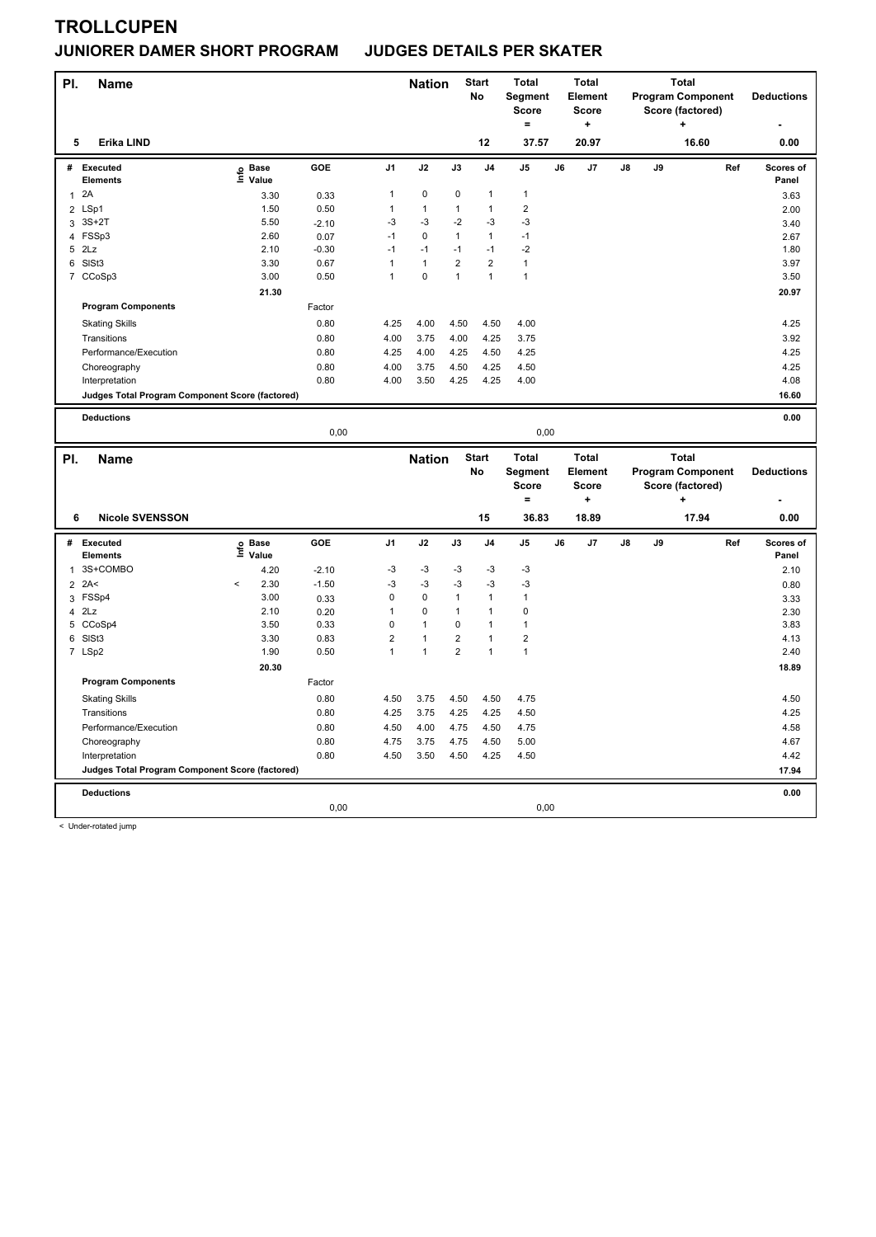#### **JUNIORER DAMER SHORT PROGRAM JUDGES DETAILS PER SKATER**

| PI.            | <b>Name</b>                                     |                   |              |                     | <b>Nation</b> |                         | <b>Start</b><br>No | <b>Total</b><br>Segment<br>Score<br>$=$ |    | <b>Total</b><br><b>Element</b><br><b>Score</b><br>÷ |    |    | <b>Total</b><br><b>Program Component</b><br>Score (factored)<br>÷ |     | <b>Deductions</b>  |
|----------------|-------------------------------------------------|-------------------|--------------|---------------------|---------------|-------------------------|--------------------|-----------------------------------------|----|-----------------------------------------------------|----|----|-------------------------------------------------------------------|-----|--------------------|
| 5              | Erika LIND                                      |                   |              |                     |               |                         | 12                 | 37.57                                   |    | 20.97                                               |    |    | 16.60                                                             |     | 0.00               |
| #              | Executed<br><b>Elements</b>                     | e Base<br>⊆ Value | GOE          | J <sub>1</sub>      | J2            | J3                      | J <sub>4</sub>     | $\mathsf{J}5$                           | J6 | J7                                                  | J8 | J9 |                                                                   | Ref | Scores of<br>Panel |
| $\mathbf{1}$   | 2A                                              | 3.30              | 0.33         | $\mathbf{1}$        | $\pmb{0}$     | 0                       | $\mathbf{1}$       | $\mathbf{1}$                            |    |                                                     |    |    |                                                                   |     | 3.63               |
| $\overline{2}$ | LSp1                                            | 1.50              | 0.50         | $\mathbf{1}$        | 1             | $\mathbf{1}$            | $\mathbf{1}$       | $\overline{2}$                          |    |                                                     |    |    |                                                                   |     | 2.00               |
| 3              | $3S+2T$                                         | 5.50              | $-2.10$      | $-3$                | $-3$          | $-2$                    | $-3$               | $-3$                                    |    |                                                     |    |    |                                                                   |     | 3.40               |
| 4              | FSSp3                                           | 2.60              | 0.07         | $-1$                | 0             | $\mathbf{1}$            | $\mathbf{1}$       | $-1$                                    |    |                                                     |    |    |                                                                   |     | 2.67               |
|                | 5 2Lz                                           | 2.10              | $-0.30$      | $-1$                | $-1$          | $-1$                    | $-1$               | $-2$                                    |    |                                                     |    |    |                                                                   |     | 1.80               |
|                | 6 SISt3                                         | 3.30              | 0.67         | 1                   | $\mathbf{1}$  | $\overline{2}$          | $\overline{2}$     | $\mathbf{1}$                            |    |                                                     |    |    |                                                                   |     | 3.97               |
| $\overline{7}$ | CCoSp3                                          | 3.00              | 0.50         | 1                   | 0             | $\mathbf{1}$            | $\mathbf{1}$       | $\mathbf{1}$                            |    |                                                     |    |    |                                                                   |     | 3.50               |
|                |                                                 | 21.30             |              |                     |               |                         |                    |                                         |    |                                                     |    |    |                                                                   |     | 20.97              |
|                | <b>Program Components</b>                       |                   | Factor       |                     |               |                         |                    |                                         |    |                                                     |    |    |                                                                   |     |                    |
|                | <b>Skating Skills</b>                           |                   | 0.80         | 4.25                | 4.00          | 4.50                    | 4.50               | 4.00                                    |    |                                                     |    |    |                                                                   |     | 4.25               |
|                | Transitions                                     |                   | 0.80         | 4.00                | 3.75          | 4.00                    | 4.25               | 3.75                                    |    |                                                     |    |    |                                                                   |     | 3.92               |
|                | Performance/Execution                           |                   | 0.80         | 4.25                | 4.00          | 4.25                    | 4.50               | 4.25                                    |    |                                                     |    |    |                                                                   |     | 4.25               |
|                | Choreography                                    |                   | 0.80         | 4.00                | 3.75          | 4.50                    | 4.25               | 4.50                                    |    |                                                     |    |    |                                                                   |     | 4.25               |
|                | Interpretation                                  |                   | 0.80         | 4.00                | 3.50          | 4.25                    | 4.25               | 4.00                                    |    |                                                     |    |    |                                                                   |     | 4.08               |
|                | Judges Total Program Component Score (factored) |                   |              |                     |               |                         |                    |                                         |    |                                                     |    |    |                                                                   |     | 16.60              |
|                |                                                 |                   |              |                     |               |                         |                    |                                         |    |                                                     |    |    |                                                                   |     | 0.00               |
|                | <b>Deductions</b>                               |                   | 0,00         |                     |               |                         |                    | 0,00                                    |    |                                                     |    |    |                                                                   |     |                    |
|                |                                                 |                   |              |                     |               |                         |                    |                                         |    |                                                     |    |    |                                                                   |     |                    |
|                |                                                 |                   |              |                     |               |                         |                    |                                         |    |                                                     |    |    |                                                                   |     |                    |
| PI.            | <b>Name</b>                                     |                   |              |                     | <b>Nation</b> |                         | <b>Start</b><br>No | <b>Total</b><br>Segment                 |    | <b>Total</b><br>Element                             |    |    | <b>Total</b><br><b>Program Component</b>                          |     | <b>Deductions</b>  |
|                |                                                 |                   |              |                     |               |                         |                    | <b>Score</b>                            |    | <b>Score</b>                                        |    |    | Score (factored)<br>٠                                             |     |                    |
|                |                                                 |                   |              |                     |               |                         |                    | $=$                                     |    | $\ddot{}$                                           |    |    |                                                                   |     |                    |
| 6              | <b>Nicole SVENSSON</b>                          |                   |              |                     |               |                         | 15                 | 36.83                                   |    | 18.89                                               |    |    | 17.94                                                             |     | 0.00               |
| #              | <b>Executed</b><br><b>Elements</b>              |                   | GOE          | J <sub>1</sub>      | J2            | J3                      | J <sub>4</sub>     | J <sub>5</sub>                          | J6 | J7                                                  | J8 | J9 |                                                                   | Ref | Scores of<br>Panel |
| 1              | 3S+COMBO                                        | e Base<br>⊑ Value |              | $-3$                | $-3$          | $-3$                    | $-3$               | $-3$                                    |    |                                                     |    |    |                                                                   |     |                    |
|                |                                                 | 4.20<br>$\prec$   | $-2.10$      |                     | $-3$          | $-3$                    | $-3$               | -3                                      |    |                                                     |    |    |                                                                   |     | 2.10               |
|                | $2$ 2A<<br>FSSp4                                | 2.30<br>3.00      | $-1.50$      | $-3$<br>$\mathsf 0$ | $\mathbf 0$   | $\mathbf{1}$            | $\mathbf{1}$       | $\mathbf{1}$                            |    |                                                     |    |    |                                                                   |     | 0.80               |
| 3              | $4$ $2Lz$                                       | 2.10              | 0.33<br>0.20 | $\mathbf{1}$        | $\pmb{0}$     | $\mathbf{1}$            | 1                  | $\mathbf 0$                             |    |                                                     |    |    |                                                                   |     | 3.33<br>2.30       |
|                | 5 CCoSp4                                        | 3.50              | 0.33         | $\mathbf 0$         | $\mathbf{1}$  | 0                       | 1                  | $\mathbf{1}$                            |    |                                                     |    |    |                                                                   |     | 3.83               |
| 6              | SISt <sub>3</sub>                               | 3.30              | 0.83         | $\overline{2}$      | $\mathbf{1}$  | $\overline{\mathbf{c}}$ | 1                  | $\overline{2}$                          |    |                                                     |    |    |                                                                   |     | 4.13               |
|                | 7 LSp2                                          | 1.90              | 0.50         | $\mathbf{1}$        | $\mathbf{1}$  | $\overline{2}$          | $\mathbf{1}$       | $\mathbf{1}$                            |    |                                                     |    |    |                                                                   |     | 2.40               |
|                |                                                 | 20.30             |              |                     |               |                         |                    |                                         |    |                                                     |    |    |                                                                   |     | 18.89              |
|                | <b>Program Components</b>                       |                   | Factor       |                     |               |                         |                    |                                         |    |                                                     |    |    |                                                                   |     |                    |
|                | <b>Skating Skills</b>                           |                   | 0.80         | 4.50                | 3.75          | 4.50                    | 4.50               | 4.75                                    |    |                                                     |    |    |                                                                   |     | 4.50               |
|                | Transitions                                     |                   | 0.80         | 4.25                | 3.75          | 4.25                    | 4.25               | 4.50                                    |    |                                                     |    |    |                                                                   |     | 4.25               |
|                | Performance/Execution                           |                   | 0.80         | 4.50                | 4.00          | 4.75                    | 4.50               | 4.75                                    |    |                                                     |    |    |                                                                   |     | 4.58               |
|                | Choreography                                    |                   | 0.80         | 4.75                | 3.75          | 4.75                    | 4.50               | 5.00                                    |    |                                                     |    |    |                                                                   |     | 4.67               |
|                | Interpretation                                  |                   | 0.80         | 4.50                | 3.50          | 4.50                    | 4.25               | 4.50                                    |    |                                                     |    |    |                                                                   |     | 4.42               |
|                | Judges Total Program Component Score (factored) |                   |              |                     |               |                         |                    |                                         |    |                                                     |    |    |                                                                   |     | 17.94              |
|                |                                                 |                   |              |                     |               |                         |                    |                                         |    |                                                     |    |    |                                                                   |     |                    |
|                | <b>Deductions</b>                               |                   | 0,00         |                     |               |                         |                    | 0,00                                    |    |                                                     |    |    |                                                                   |     | 0.00               |

< Under-rotated jump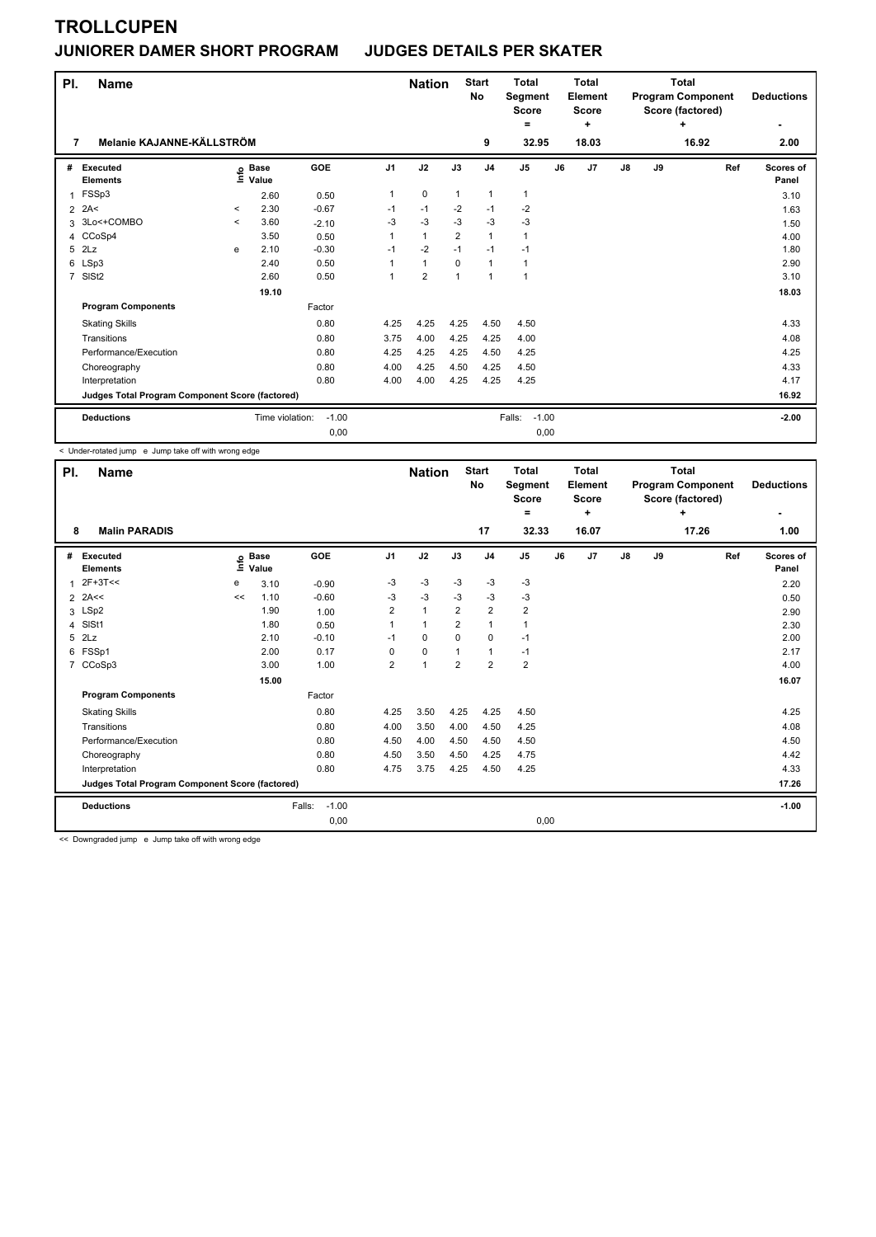## **JUNIORER DAMER SHORT PROGRAM JUDGES DETAILS PER SKATER**

| PI.<br>7       | <b>Name</b><br>Melanie KAJANNE-KÄLLSTRÖM        |              |                            |            |                | <b>Nation</b>  |              | <b>Start</b><br><b>No</b><br>9 | Total<br>Segment<br><b>Score</b><br>$=$<br>32.95 |    | Total<br>Element<br><b>Score</b><br>÷<br>18.03 |               |    | Total<br><b>Program Component</b><br>Score (factored)<br>٠<br>16.92 | <b>Deductions</b><br>2.00 |
|----------------|-------------------------------------------------|--------------|----------------------------|------------|----------------|----------------|--------------|--------------------------------|--------------------------------------------------|----|------------------------------------------------|---------------|----|---------------------------------------------------------------------|---------------------------|
|                |                                                 |              |                            |            |                |                |              |                                |                                                  |    |                                                |               |    |                                                                     |                           |
| #              | Executed<br><b>Elements</b>                     |              | e Base<br>E Value<br>Value | <b>GOE</b> | J <sub>1</sub> | J2             | J3           | J <sub>4</sub>                 | J <sub>5</sub>                                   | J6 | J <sub>7</sub>                                 | $\mathsf{J}8$ | J9 | Ref                                                                 | Scores of<br>Panel        |
| 1              | FSSp3                                           |              | 2.60                       | 0.50       | 1              | $\mathbf 0$    | $\mathbf{1}$ | $\mathbf{1}$                   | 1                                                |    |                                                |               |    |                                                                     | 3.10                      |
| 2              | 2A<                                             | $\hat{}$     | 2.30                       | $-0.67$    | $-1$           | $-1$           | $-2$         | $-1$                           | $-2$                                             |    |                                                |               |    |                                                                     | 1.63                      |
| 3              | 3Lo<+COMBO                                      | $\checkmark$ | 3.60                       | $-2.10$    | $-3$           | $-3$           | $-3$         | $-3$                           | $-3$                                             |    |                                                |               |    |                                                                     | 1.50                      |
| 4              | CCoSp4                                          |              | 3.50                       | 0.50       | 1              | $\mathbf{1}$   | 2            | $\mathbf{1}$                   | 1                                                |    |                                                |               |    |                                                                     | 4.00                      |
| 5              | 2Lz                                             | e            | 2.10                       | $-0.30$    | $-1$           | $-2$           | $-1$         | $-1$                           | $-1$                                             |    |                                                |               |    |                                                                     | 1.80                      |
| 6              | LSp3                                            |              | 2.40                       | 0.50       |                | $\mathbf{1}$   | $\Omega$     | $\mathbf{1}$                   | 1                                                |    |                                                |               |    |                                                                     | 2.90                      |
| $\overline{7}$ | SISt <sub>2</sub>                               |              | 2.60                       | 0.50       | 1              | $\overline{2}$ | 1            | $\overline{1}$                 | 1                                                |    |                                                |               |    |                                                                     | 3.10                      |
|                |                                                 |              | 19.10                      |            |                |                |              |                                |                                                  |    |                                                |               |    |                                                                     | 18.03                     |
|                | <b>Program Components</b>                       |              |                            | Factor     |                |                |              |                                |                                                  |    |                                                |               |    |                                                                     |                           |
|                | <b>Skating Skills</b>                           |              |                            | 0.80       | 4.25           | 4.25           | 4.25         | 4.50                           | 4.50                                             |    |                                                |               |    |                                                                     | 4.33                      |
|                | Transitions                                     |              |                            | 0.80       | 3.75           | 4.00           | 4.25         | 4.25                           | 4.00                                             |    |                                                |               |    |                                                                     | 4.08                      |
|                | Performance/Execution                           |              |                            | 0.80       | 4.25           | 4.25           | 4.25         | 4.50                           | 4.25                                             |    |                                                |               |    |                                                                     | 4.25                      |
|                | Choreography                                    |              |                            | 0.80       | 4.00           | 4.25           | 4.50         | 4.25                           | 4.50                                             |    |                                                |               |    |                                                                     | 4.33                      |
|                | Interpretation                                  |              |                            | 0.80       | 4.00           | 4.00           | 4.25         | 4.25                           | 4.25                                             |    |                                                |               |    |                                                                     | 4.17                      |
|                | Judges Total Program Component Score (factored) |              |                            |            |                |                |              |                                |                                                  |    |                                                |               |    |                                                                     | 16.92                     |
|                | <b>Deductions</b>                               |              | Time violation:            | $-1.00$    |                |                |              |                                | Falls:<br>$-1.00$                                |    |                                                |               |    |                                                                     | $-2.00$                   |
|                |                                                 |              |                            | 0,00       |                |                |              |                                | 0,00                                             |    |                                                |               |    |                                                                     |                           |

< Under-rotated jump e Jump take off with wrong edge

| PI.            | <b>Name</b>                                     |      |                      |                   |                | <b>Nation</b>        |                | <b>Start</b><br>No | <b>Total</b><br>Segment<br><b>Score</b><br>= |    | <b>Total</b><br>Element<br><b>Score</b><br>٠ |               |    | <b>Total</b><br><b>Program Component</b><br>Score (factored)<br>÷ |     | <b>Deductions</b>  |
|----------------|-------------------------------------------------|------|----------------------|-------------------|----------------|----------------------|----------------|--------------------|----------------------------------------------|----|----------------------------------------------|---------------|----|-------------------------------------------------------------------|-----|--------------------|
| 8              | <b>Malin PARADIS</b>                            |      |                      |                   |                |                      |                | 17                 | 32.33                                        |    | 16.07                                        |               |    | 17.26                                                             |     | 1.00               |
| #              | <b>Executed</b><br><b>Elements</b>              | lnfo | <b>Base</b><br>Value | GOE               | J <sub>1</sub> | J2                   | J3             | J <sub>4</sub>     | J <sub>5</sub>                               | J6 | J7                                           | $\mathsf{J}8$ | J9 |                                                                   | Ref | Scores of<br>Panel |
|                | $2F+3T<<$                                       | e    | 3.10                 | $-0.90$           | -3             | $-3$                 | $-3$           | $-3$               | $-3$                                         |    |                                              |               |    |                                                                   |     | 2.20               |
| $\overline{2}$ | 2A<<                                            | <<   | 1.10                 | $-0.60$           | -3             | $-3$                 | $-3$           | $-3$               | $-3$                                         |    |                                              |               |    |                                                                   |     | 0.50               |
| 3              | LSp2                                            |      | 1.90                 | 1.00              | 2              | $\mathbf{1}$         | $\overline{2}$ | $\overline{2}$     | $\overline{\mathbf{c}}$                      |    |                                              |               |    |                                                                   |     | 2.90               |
| 4              | SISt1                                           |      | 1.80                 | 0.50              |                | $\mathbf{1}$         | $\overline{2}$ | $\mathbf{1}$       | $\mathbf{1}$                                 |    |                                              |               |    |                                                                   |     | 2.30               |
| 5              | 2Lz                                             |      | 2.10                 | $-0.10$           | $-1$           | 0                    | $\Omega$       | 0                  | $-1$                                         |    |                                              |               |    |                                                                   |     | 2.00               |
| 6              | FSSp1                                           |      | 2.00                 | 0.17              | 0              | $\mathbf 0$          |                | $\mathbf{1}$       | $-1$                                         |    |                                              |               |    |                                                                   |     | 2.17               |
|                | 7 CCoSp3                                        |      | 3.00                 | 1.00              | $\overline{2}$ | $\blacktriangleleft$ | $\overline{2}$ | $\overline{2}$     | $\overline{2}$                               |    |                                              |               |    |                                                                   |     | 4.00               |
|                |                                                 |      | 15.00                |                   |                |                      |                |                    |                                              |    |                                              |               |    |                                                                   |     | 16.07              |
|                | <b>Program Components</b>                       |      |                      | Factor            |                |                      |                |                    |                                              |    |                                              |               |    |                                                                   |     |                    |
|                | <b>Skating Skills</b>                           |      |                      | 0.80              | 4.25           | 3.50                 | 4.25           | 4.25               | 4.50                                         |    |                                              |               |    |                                                                   |     | 4.25               |
|                | Transitions                                     |      |                      | 0.80              | 4.00           | 3.50                 | 4.00           | 4.50               | 4.25                                         |    |                                              |               |    |                                                                   |     | 4.08               |
|                | Performance/Execution                           |      |                      | 0.80              | 4.50           | 4.00                 | 4.50           | 4.50               | 4.50                                         |    |                                              |               |    |                                                                   |     | 4.50               |
|                | Choreography                                    |      |                      | 0.80              | 4.50           | 3.50                 | 4.50           | 4.25               | 4.75                                         |    |                                              |               |    |                                                                   |     | 4.42               |
|                | Interpretation                                  |      |                      | 0.80              | 4.75           | 3.75                 | 4.25           | 4.50               | 4.25                                         |    |                                              |               |    |                                                                   |     | 4.33               |
|                | Judges Total Program Component Score (factored) |      |                      |                   |                |                      |                |                    |                                              |    |                                              |               |    |                                                                   |     | 17.26              |
|                | <b>Deductions</b>                               |      |                      | $-1.00$<br>Falls: |                |                      |                |                    |                                              |    |                                              |               |    |                                                                   |     | $-1.00$            |
|                |                                                 |      |                      | 0,00              |                |                      |                |                    | 0,00                                         |    |                                              |               |    |                                                                   |     |                    |

<< Downgraded jump e Jump take off with wrong edge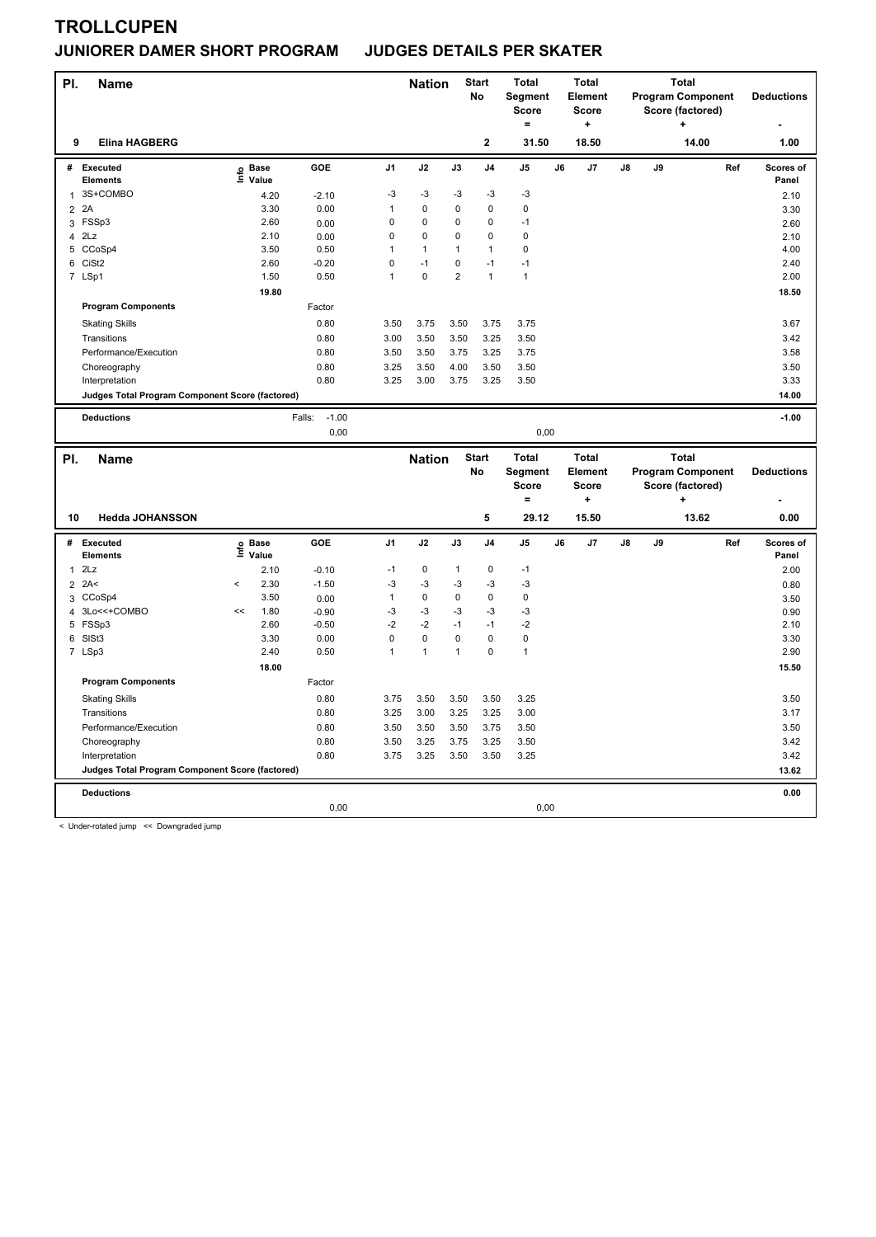### **JUNIORER DAMER SHORT PROGRAM JUDGES DETAILS PER SKATER**

| PI.            | Name                                                              |    |                           |                   |                | <b>Nation</b> |                | <b>Start</b><br><b>No</b> | <b>Total</b><br>Segment<br><b>Score</b><br>$=$ |    | <b>Total</b><br>Element<br><b>Score</b><br>$\ddot{}$ |    |    | <b>Total</b><br><b>Program Component</b><br>Score (factored)<br>$\ddot{}$ |     | <b>Deductions</b>  |
|----------------|-------------------------------------------------------------------|----|---------------------------|-------------------|----------------|---------------|----------------|---------------------------|------------------------------------------------|----|------------------------------------------------------|----|----|---------------------------------------------------------------------------|-----|--------------------|
| 9              | <b>Elina HAGBERG</b>                                              |    |                           |                   |                |               |                | 2                         | 31.50                                          |    | 18.50                                                |    |    | 14.00                                                                     |     | 1.00               |
| #              | Executed<br><b>Elements</b>                                       |    | Base<br>e Base<br>⊆ Value | <b>GOE</b>        | J <sub>1</sub> | J2            | J3             | J <sub>4</sub>            | J5                                             | J6 | J7                                                   | J8 | J9 |                                                                           | Ref | Scores of<br>Panel |
| $\mathbf{1}$   | 3S+COMBO                                                          |    | 4.20                      | $-2.10$           | -3             | -3            | -3             | $-3$                      | -3                                             |    |                                                      |    |    |                                                                           |     | 2.10               |
| $\overline{2}$ | 2A                                                                |    | 3.30                      | 0.00              | 1              | $\pmb{0}$     | 0              | $\mathbf 0$               | $\pmb{0}$                                      |    |                                                      |    |    |                                                                           |     | 3.30               |
|                | 3 FSSp3                                                           |    | 2.60                      | 0.00              | 0              | $\Omega$      | $\Omega$       | $\Omega$                  | $-1$                                           |    |                                                      |    |    |                                                                           |     | 2.60               |
| $\overline{4}$ | 2Lz                                                               |    | 2.10                      | 0.00              | 0              | $\pmb{0}$     | 0              | $\mathbf 0$               | $\pmb{0}$                                      |    |                                                      |    |    |                                                                           |     | 2.10               |
| 5              | CCoSp4                                                            |    | 3.50                      | 0.50              | 1              | $\mathbf{1}$  | 1              | $\mathbf{1}$              | $\mathbf 0$                                    |    |                                                      |    |    |                                                                           |     | 4.00               |
|                | 6 CiSt2                                                           |    | 2.60                      | $-0.20$           | 0              | $-1$          | 0              | $-1$                      | $-1$                                           |    |                                                      |    |    |                                                                           |     | 2.40               |
|                | 7 LSp1                                                            |    | 1.50                      | 0.50              | $\overline{1}$ | $\mathbf 0$   | $\overline{2}$ | $\mathbf{1}$              | $\mathbf{1}$                                   |    |                                                      |    |    |                                                                           |     | 2.00               |
|                |                                                                   |    | 19.80                     |                   |                |               |                |                           |                                                |    |                                                      |    |    |                                                                           |     | 18.50              |
|                | <b>Program Components</b>                                         |    |                           | Factor            |                |               |                |                           |                                                |    |                                                      |    |    |                                                                           |     |                    |
|                | <b>Skating Skills</b>                                             |    |                           | 0.80              | 3.50           | 3.75          | 3.50           | 3.75                      | 3.75                                           |    |                                                      |    |    |                                                                           |     | 3.67               |
|                | Transitions                                                       |    |                           | 0.80              | 3.00           | 3.50          | 3.50           | 3.25                      | 3.50                                           |    |                                                      |    |    |                                                                           |     | 3.42               |
|                | Performance/Execution                                             |    |                           | 0.80              | 3.50           | 3.50          | 3.75           | 3.25                      | 3.75                                           |    |                                                      |    |    |                                                                           |     | 3.58               |
|                | Choreography                                                      |    |                           | 0.80              | 3.25           | 3.50          | 4.00           | 3.50                      | 3.50                                           |    |                                                      |    |    |                                                                           |     | 3.50               |
|                |                                                                   |    |                           | 0.80              | 3.25           | 3.00          | 3.75           | 3.25                      |                                                |    |                                                      |    |    |                                                                           |     | 3.33               |
|                | Interpretation<br>Judges Total Program Component Score (factored) |    |                           |                   |                |               |                |                           | 3.50                                           |    |                                                      |    |    |                                                                           |     | 14.00              |
|                |                                                                   |    |                           |                   |                |               |                |                           |                                                |    |                                                      |    |    |                                                                           |     |                    |
|                | <b>Deductions</b>                                                 |    |                           | $-1.00$<br>Falls: |                |               |                |                           |                                                |    |                                                      |    |    |                                                                           |     | $-1.00$            |
|                |                                                                   |    |                           | 0,00              |                |               |                |                           | 0,00                                           |    |                                                      |    |    |                                                                           |     |                    |
|                |                                                                   |    |                           |                   |                |               |                |                           |                                                |    |                                                      |    |    |                                                                           |     |                    |
|                |                                                                   |    |                           |                   |                |               |                |                           |                                                |    |                                                      |    |    |                                                                           |     |                    |
| PI.            | <b>Name</b>                                                       |    |                           |                   |                | <b>Nation</b> |                | <b>Start</b>              | <b>Total</b>                                   |    | <b>Total</b>                                         |    |    | <b>Total</b>                                                              |     |                    |
|                |                                                                   |    |                           |                   |                |               |                | No                        | Segment<br><b>Score</b>                        |    | Element<br><b>Score</b>                              |    |    | <b>Program Component</b><br>Score (factored)                              |     | <b>Deductions</b>  |
|                |                                                                   |    |                           |                   |                |               |                |                           | $=$                                            |    | ÷                                                    |    |    |                                                                           |     |                    |
| 10             | <b>Hedda JOHANSSON</b>                                            |    |                           |                   |                |               |                | 5                         | 29.12                                          |    | 15.50                                                |    |    | 13.62                                                                     |     | 0.00               |
|                | # Executed                                                        |    | <b>Base</b>               | GOE               | J <sub>1</sub> | J2            | J3             | J <sub>4</sub>            | J <sub>5</sub>                                 | J6 | J7                                                   | J8 | J9 |                                                                           | Ref | Scores of          |
|                | Elements                                                          |    | e Base<br>⊆ Value         |                   |                |               |                |                           |                                                |    |                                                      |    |    |                                                                           |     | Panel              |
| $\mathbf{1}$   | 2Lz                                                               |    | 2.10                      | $-0.10$           | $-1$           | $\mathbf 0$   | 1              | $\mathbf 0$               | $-1$                                           |    |                                                      |    |    |                                                                           |     | 2.00               |
|                | $2$ 2A<                                                           | <  | 2.30                      | $-1.50$           | $-3$           | $-3$          | $-3$           | $-3$                      | $-3$                                           |    |                                                      |    |    |                                                                           |     | 0.80               |
| 3              | CCoSp4                                                            |    | 3.50                      | 0.00              | $\mathbf{1}$   | $\mathbf 0$   | $\mathbf 0$    | $\mathbf 0$               | $\mathbf 0$                                    |    |                                                      |    |    |                                                                           |     | 3.50               |
| 4              | 3Lo<<+COMBO                                                       | << | 1.80                      | $-0.90$           | $-3$           | $-3$          | $-3$           | $-3$                      | $-3$                                           |    |                                                      |    |    |                                                                           |     | 0.90               |
|                | 5 FSSp3                                                           |    | 2.60                      | $-0.50$           | $-2$           | $-2$          | $-1$           | $-1$                      | $-2$                                           |    |                                                      |    |    |                                                                           |     | 2.10               |
| 6              | SISt3                                                             |    | 3.30                      | 0.00              | $\mathbf 0$    | $\mathbf 0$   | $\mathbf 0$    | $\mathbf 0$               | $\mathbf 0$                                    |    |                                                      |    |    |                                                                           |     | 3.30               |
|                | 7 LSp3                                                            |    | 2.40                      | 0.50              | $\mathbf{1}$   | $\mathbf{1}$  | $\mathbf{1}$   | $\mathbf 0$               | $\overline{1}$                                 |    |                                                      |    |    |                                                                           |     | 2.90               |
|                |                                                                   |    | 18.00                     |                   |                |               |                |                           |                                                |    |                                                      |    |    |                                                                           |     | 15.50              |
|                | <b>Program Components</b>                                         |    |                           | Factor            |                |               |                |                           |                                                |    |                                                      |    |    |                                                                           |     |                    |
|                | <b>Skating Skills</b>                                             |    |                           | 0.80              | 3.75           | 3.50          | 3.50           | 3.50                      | 3.25                                           |    |                                                      |    |    |                                                                           |     | 3.50               |
|                | Transitions                                                       |    |                           | 0.80              | 3.25           | 3.00          | 3.25           | 3.25                      | 3.00                                           |    |                                                      |    |    |                                                                           |     | 3.17               |
|                | Performance/Execution                                             |    |                           | 0.80              | 3.50           | 3.50          | 3.50           | 3.75                      | 3.50                                           |    |                                                      |    |    |                                                                           |     | 3.50               |
|                |                                                                   |    |                           | 0.80              | 3.50           | 3.25          | 3.75           | 3.25                      | 3.50                                           |    |                                                      |    |    |                                                                           |     | 3.42               |
|                | Choreography<br>Interpretation                                    |    |                           | 0.80              | 3.75           | 3.25          | 3.50           | 3.50                      | 3.25                                           |    |                                                      |    |    |                                                                           |     | 3.42               |
|                | Judges Total Program Component Score (factored)                   |    |                           |                   |                |               |                |                           |                                                |    |                                                      |    |    |                                                                           |     | 13.62              |
|                |                                                                   |    |                           |                   |                |               |                |                           |                                                |    |                                                      |    |    |                                                                           |     |                    |
|                | <b>Deductions</b>                                                 |    |                           | 0,00              |                |               |                |                           | 0,00                                           |    |                                                      |    |    |                                                                           |     | 0.00               |

< Under-rotated jump << Downgraded jump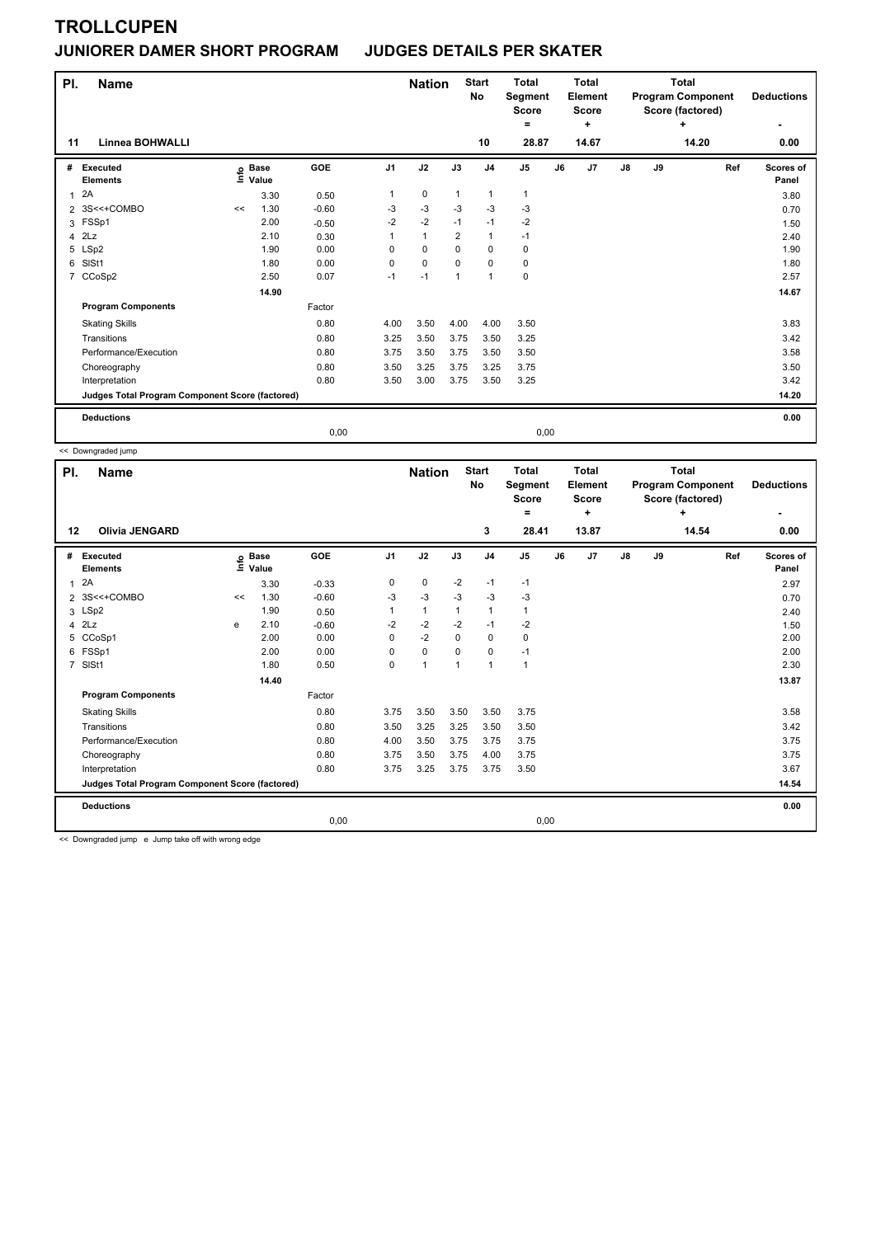### **JUNIORER DAMER SHORT PROGRAM JUDGES DETAILS PER SKATER**

| PI.            | <b>Name</b>                                     |                   |       |            |                | <b>Nation</b> |                | <b>Start</b><br><b>No</b> | <b>Total</b><br>Segment<br><b>Score</b><br>۰ |      | <b>Total</b><br><b>Element</b><br><b>Score</b><br>÷ |               |    | <b>Total</b><br><b>Program Component</b><br>Score (factored)<br>÷ | <b>Deductions</b>  |
|----------------|-------------------------------------------------|-------------------|-------|------------|----------------|---------------|----------------|---------------------------|----------------------------------------------|------|-----------------------------------------------------|---------------|----|-------------------------------------------------------------------|--------------------|
| 11             | Linnea BOHWALLI                                 |                   |       |            |                |               |                | 10                        | 28.87                                        |      | 14.67                                               |               |    | 14.20                                                             | 0.00               |
| #              | <b>Executed</b><br><b>Elements</b>              | e Base<br>E Value | Value | <b>GOE</b> | J <sub>1</sub> | J2            | J3             | J <sub>4</sub>            | J <sub>5</sub>                               | J6   | J7                                                  | $\mathsf{J}8$ | J9 | Ref                                                               | Scores of<br>Panel |
| 1              | 2A                                              |                   | 3.30  | 0.50       | 1              | $\mathbf 0$   | $\mathbf{1}$   | $\mathbf{1}$              | $\mathbf{1}$                                 |      |                                                     |               |    |                                                                   | 3.80               |
|                | 2 3S<<+COMBO                                    | <<                | 1.30  | $-0.60$    | -3             | -3            | -3             | -3                        | -3                                           |      |                                                     |               |    |                                                                   | 0.70               |
| 3              | FSSp1                                           |                   | 2.00  | $-0.50$    | $-2$           | $-2$          | $-1$           | $-1$                      | $-2$                                         |      |                                                     |               |    |                                                                   | 1.50               |
|                | $4$ $2Lz$                                       |                   | 2.10  | 0.30       | 1              | $\mathbf{1}$  | $\overline{2}$ | $\mathbf{1}$              | $-1$                                         |      |                                                     |               |    |                                                                   | 2.40               |
| 5              | LSp2                                            |                   | 1.90  | 0.00       | $\Omega$       | $\mathbf 0$   | $\Omega$       | $\mathbf 0$               | 0                                            |      |                                                     |               |    |                                                                   | 1.90               |
| 6              | SISt1                                           |                   | 1.80  | 0.00       | $\mathbf 0$    | $\mathbf 0$   | $\Omega$       | $\mathbf 0$               | 0                                            |      |                                                     |               |    |                                                                   | 1.80               |
| $\overline{7}$ | CCoSp2                                          |                   | 2.50  | 0.07       | $-1$           | $-1$          | $\mathbf{1}$   | $\mathbf{1}$              | 0                                            |      |                                                     |               |    |                                                                   | 2.57               |
|                |                                                 |                   | 14.90 |            |                |               |                |                           |                                              |      |                                                     |               |    |                                                                   | 14.67              |
|                | <b>Program Components</b>                       |                   |       | Factor     |                |               |                |                           |                                              |      |                                                     |               |    |                                                                   |                    |
|                | <b>Skating Skills</b>                           |                   |       | 0.80       | 4.00           | 3.50          | 4.00           | 4.00                      | 3.50                                         |      |                                                     |               |    |                                                                   | 3.83               |
|                | Transitions                                     |                   |       | 0.80       | 3.25           | 3.50          | 3.75           | 3.50                      | 3.25                                         |      |                                                     |               |    |                                                                   | 3.42               |
|                | Performance/Execution                           |                   |       | 0.80       | 3.75           | 3.50          | 3.75           | 3.50                      | 3.50                                         |      |                                                     |               |    |                                                                   | 3.58               |
|                | Choreography                                    |                   |       | 0.80       | 3.50           | 3.25          | 3.75           | 3.25                      | 3.75                                         |      |                                                     |               |    |                                                                   | 3.50               |
|                | Interpretation                                  |                   |       | 0.80       | 3.50           | 3.00          | 3.75           | 3.50                      | 3.25                                         |      |                                                     |               |    |                                                                   | 3.42               |
|                | Judges Total Program Component Score (factored) |                   |       |            |                |               |                |                           |                                              |      |                                                     |               |    |                                                                   | 14.20              |
|                | <b>Deductions</b>                               |                   |       |            |                |               |                |                           |                                              |      |                                                     |               |    |                                                                   | 0.00               |
|                |                                                 |                   |       | 0,00       |                |               |                |                           |                                              | 0,00 |                                                     |               |    |                                                                   |                    |

<< Downgraded jump

| PI.            | <b>Name</b>                                     |       |                      |         |                | <b>Nation</b> |                | <b>Start</b><br>No | <b>Total</b><br>Segment<br><b>Score</b><br>= |    | <b>Total</b><br>Element<br><b>Score</b><br>٠ |               |    | <b>Total</b><br><b>Program Component</b><br>Score (factored)<br>÷ | <b>Deductions</b>  |
|----------------|-------------------------------------------------|-------|----------------------|---------|----------------|---------------|----------------|--------------------|----------------------------------------------|----|----------------------------------------------|---------------|----|-------------------------------------------------------------------|--------------------|
| 12             | <b>Olivia JENGARD</b>                           |       |                      |         |                |               |                | 3                  | 28.41                                        |    | 13.87                                        |               |    | 14.54                                                             | 0.00               |
| #              | Executed<br><b>Elements</b>                     | ۴ů    | <b>Base</b><br>Value | GOE     | J <sub>1</sub> | J2            | J3             | J <sub>4</sub>     | J <sub>5</sub>                               | J6 | J7                                           | $\mathsf{J}8$ | J9 | Ref                                                               | Scores of<br>Panel |
| $\mathbf{1}$   | 2A                                              |       | 3.30                 | $-0.33$ | 0              | 0             | $-2$           | $-1$               | $-1$                                         |    |                                              |               |    |                                                                   | 2.97               |
|                | 2 3S<<+COMBO                                    | $\,<$ | 1.30                 | $-0.60$ | -3             | $-3$          | $-3$           | $-3$               | $-3$                                         |    |                                              |               |    |                                                                   | 0.70               |
| 3              | LSp2                                            |       | 1.90                 | 0.50    | 1              | $\mathbf{1}$  | 1              | $\overline{1}$     | $\mathbf{1}$                                 |    |                                              |               |    |                                                                   | 2.40               |
| $\overline{4}$ | 2Lz                                             | e     | 2.10                 | $-0.60$ | $-2$           | $-2$          | $-2$           | $-1$               | -2                                           |    |                                              |               |    |                                                                   | 1.50               |
|                | 5 CCoSp1                                        |       | 2.00                 | 0.00    | 0              | $-2$          | $\Omega$       | 0                  | 0                                            |    |                                              |               |    |                                                                   | 2.00               |
|                | 6 FSSp1                                         |       | 2.00                 | 0.00    | 0              | $\mathbf 0$   | 0              | 0                  | $-1$                                         |    |                                              |               |    |                                                                   | 2.00               |
| $\overline{7}$ | SISt1                                           |       | 1.80                 | 0.50    | 0              | $\mathbf{1}$  | $\overline{1}$ | $\overline{1}$     | $\mathbf{1}$                                 |    |                                              |               |    |                                                                   | 2.30               |
|                |                                                 |       | 14.40                |         |                |               |                |                    |                                              |    |                                              |               |    |                                                                   | 13.87              |
|                | <b>Program Components</b>                       |       |                      | Factor  |                |               |                |                    |                                              |    |                                              |               |    |                                                                   |                    |
|                | <b>Skating Skills</b>                           |       |                      | 0.80    | 3.75           | 3.50          | 3.50           | 3.50               | 3.75                                         |    |                                              |               |    |                                                                   | 3.58               |
|                | Transitions                                     |       |                      | 0.80    | 3.50           | 3.25          | 3.25           | 3.50               | 3.50                                         |    |                                              |               |    |                                                                   | 3.42               |
|                | Performance/Execution                           |       |                      | 0.80    | 4.00           | 3.50          | 3.75           | 3.75               | 3.75                                         |    |                                              |               |    |                                                                   | 3.75               |
|                | Choreography                                    |       |                      | 0.80    | 3.75           | 3.50          | 3.75           | 4.00               | 3.75                                         |    |                                              |               |    |                                                                   | 3.75               |
|                | Interpretation                                  |       |                      | 0.80    | 3.75           | 3.25          | 3.75           | 3.75               | 3.50                                         |    |                                              |               |    |                                                                   | 3.67               |
|                | Judges Total Program Component Score (factored) |       |                      |         |                |               |                |                    |                                              |    |                                              |               |    |                                                                   | 14.54              |
|                | <b>Deductions</b>                               |       |                      |         |                |               |                |                    |                                              |    |                                              |               |    |                                                                   | 0.00               |
|                |                                                 |       |                      | 0,00    |                |               |                |                    | 0,00                                         |    |                                              |               |    |                                                                   |                    |

<< Downgraded jump e Jump take off with wrong edge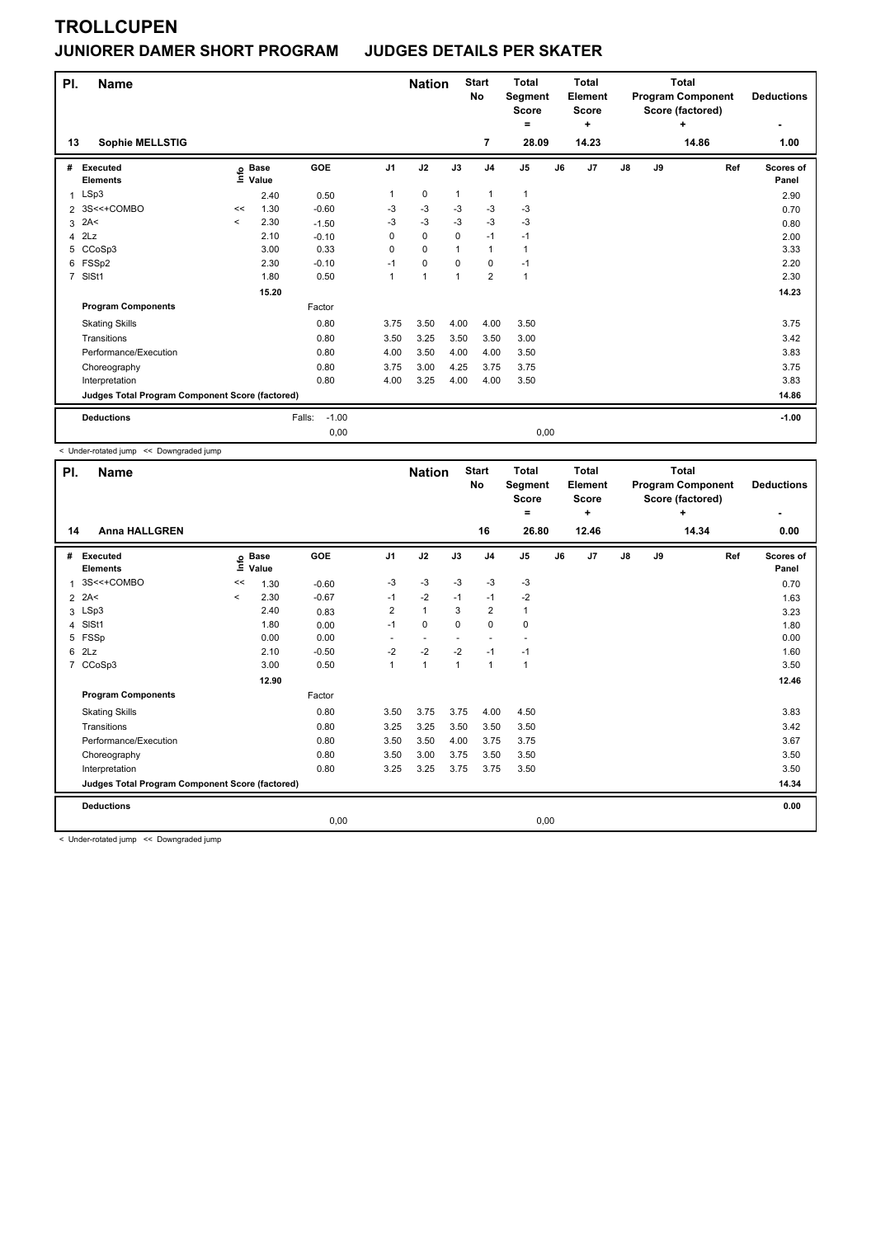### **JUNIORER DAMER SHORT PROGRAM JUDGES DETAILS PER SKATER**

| PI. | <b>Name</b>                                     |         |                            |                   |                | <b>Nation</b>  |              | <b>Start</b><br>No | <b>Total</b><br>Segment<br><b>Score</b><br>$=$ |    | <b>Total</b><br>Element<br><b>Score</b><br>÷ |    |    | <b>Total</b><br><b>Program Component</b><br>Score (factored)<br>٠ | <b>Deductions</b>  |
|-----|-------------------------------------------------|---------|----------------------------|-------------------|----------------|----------------|--------------|--------------------|------------------------------------------------|----|----------------------------------------------|----|----|-------------------------------------------------------------------|--------------------|
| 13  | Sophie MELLSTIG                                 |         |                            |                   |                |                |              | 7                  | 28.09                                          |    | 14.23                                        |    |    | 14.86                                                             | 1.00               |
| #   | Executed<br><b>Elements</b>                     |         | e Base<br>E Value<br>Value | GOE               | J <sub>1</sub> | J2             | J3           | J <sub>4</sub>     | J <sub>5</sub>                                 | J6 | J7                                           | J8 | J9 | Ref                                                               | Scores of<br>Panel |
|     | 1 LSp3                                          |         | 2.40                       | 0.50              | 1              | 0              | $\mathbf{1}$ | 1                  | $\mathbf{1}$                                   |    |                                              |    |    |                                                                   | 2.90               |
|     | 2 3S<<+COMBO                                    | <<      | 1.30                       | $-0.60$           | $-3$           | $-3$           | $-3$         | $-3$               | $-3$                                           |    |                                              |    |    |                                                                   | 0.70               |
| 3   | 2A<                                             | $\prec$ | 2.30                       | $-1.50$           | $-3$           | $-3$           | $-3$         | $-3$               | $-3$                                           |    |                                              |    |    |                                                                   | 0.80               |
|     | $4$ $2Lz$                                       |         | 2.10                       | $-0.10$           | 0              | $\mathbf 0$    | $\Omega$     | $-1$               | $-1$                                           |    |                                              |    |    |                                                                   | 2.00               |
| 5   | CCoSp3                                          |         | 3.00                       | 0.33              | 0              | $\mathbf 0$    |              | 1                  | 1                                              |    |                                              |    |    |                                                                   | 3.33               |
| 6   | FSSp2                                           |         | 2.30                       | $-0.10$           | $-1$           | 0              | $\Omega$     | $\mathbf 0$        | $-1$                                           |    |                                              |    |    |                                                                   | 2.20               |
|     | 7 SISt1                                         |         | 1.80                       | 0.50              |                | $\overline{1}$ |              | $\overline{2}$     | 1                                              |    |                                              |    |    |                                                                   | 2.30               |
|     |                                                 |         | 15.20                      |                   |                |                |              |                    |                                                |    |                                              |    |    |                                                                   | 14.23              |
|     | <b>Program Components</b>                       |         |                            | Factor            |                |                |              |                    |                                                |    |                                              |    |    |                                                                   |                    |
|     | <b>Skating Skills</b>                           |         |                            | 0.80              | 3.75           | 3.50           | 4.00         | 4.00               | 3.50                                           |    |                                              |    |    |                                                                   | 3.75               |
|     | Transitions                                     |         |                            | 0.80              | 3.50           | 3.25           | 3.50         | 3.50               | 3.00                                           |    |                                              |    |    |                                                                   | 3.42               |
|     | Performance/Execution                           |         |                            | 0.80              | 4.00           | 3.50           | 4.00         | 4.00               | 3.50                                           |    |                                              |    |    |                                                                   | 3.83               |
|     | Choreography                                    |         |                            | 0.80              | 3.75           | 3.00           | 4.25         | 3.75               | 3.75                                           |    |                                              |    |    |                                                                   | 3.75               |
|     | Interpretation                                  |         |                            | 0.80              | 4.00           | 3.25           | 4.00         | 4.00               | 3.50                                           |    |                                              |    |    |                                                                   | 3.83               |
|     | Judges Total Program Component Score (factored) |         |                            |                   |                |                |              |                    |                                                |    |                                              |    |    |                                                                   | 14.86              |
|     | <b>Deductions</b>                               |         |                            | $-1.00$<br>Falls: |                |                |              |                    |                                                |    |                                              |    |    |                                                                   | $-1.00$            |
|     |                                                 |         |                            | 0,00              |                |                |              |                    | 0,00                                           |    |                                              |    |    |                                                                   |                    |

< Under-rotated jump << Downgraded jump

| PI.            | <b>Name</b>                                     |          |                      |            |                | <b>Nation</b>            |              | <b>Start</b><br>No       | <b>Total</b><br>Segment<br><b>Score</b><br>= |    | <b>Total</b><br>Element<br><b>Score</b><br>٠ |    |    | <b>Total</b><br><b>Program Component</b><br>Score (factored)<br>÷ | <b>Deductions</b>  |
|----------------|-------------------------------------------------|----------|----------------------|------------|----------------|--------------------------|--------------|--------------------------|----------------------------------------------|----|----------------------------------------------|----|----|-------------------------------------------------------------------|--------------------|
| 14             | <b>Anna HALLGREN</b>                            |          |                      |            |                |                          |              | 16                       | 26.80                                        |    | 12.46                                        |    |    | 14.34                                                             | 0.00               |
| #              | Executed<br><b>Elements</b>                     | ١nf٥     | <b>Base</b><br>Value | <b>GOE</b> | J <sub>1</sub> | J2                       | J3           | J <sub>4</sub>           | J <sub>5</sub>                               | J6 | J7                                           | J8 | J9 | Ref                                                               | Scores of<br>Panel |
|                | 3S<<+COMBO                                      | <<       | 1.30                 | $-0.60$    | $-3$           | $-3$                     | $-3$         | $-3$                     | $-3$                                         |    |                                              |    |    |                                                                   | 0.70               |
| 2              | 2A<                                             | $\hat{}$ | 2.30                 | $-0.67$    | $-1$           | $-2$                     | $-1$         | $-1$                     | $-2$                                         |    |                                              |    |    |                                                                   | 1.63               |
|                | 3 LSp3                                          |          | 2.40                 | 0.83       | $\overline{2}$ | $\mathbf{1}$             | 3            | $\overline{2}$           | 1                                            |    |                                              |    |    |                                                                   | 3.23               |
| 4              | SISt1                                           |          | 1.80                 | 0.00       | $-1$           | $\mathbf 0$              | $\mathbf 0$  | $\mathbf 0$              | 0                                            |    |                                              |    |    |                                                                   | 1.80               |
| 5              | FSSp                                            |          | 0.00                 | 0.00       | ٠              | $\overline{\phantom{a}}$ |              | $\overline{\phantom{a}}$ |                                              |    |                                              |    |    |                                                                   | 0.00               |
| 6              | 2Lz                                             |          | 2.10                 | $-0.50$    | $-2$           | $-2$                     | $-2$         | $-1$                     | $-1$                                         |    |                                              |    |    |                                                                   | 1.60               |
| $\overline{7}$ | CCoSp3                                          |          | 3.00                 | 0.50       | 1              | $\mathbf{1}$             | $\mathbf{1}$ | $\mathbf{1}$             | $\mathbf{1}$                                 |    |                                              |    |    |                                                                   | 3.50               |
|                |                                                 |          | 12.90                |            |                |                          |              |                          |                                              |    |                                              |    |    |                                                                   | 12.46              |
|                | <b>Program Components</b>                       |          |                      | Factor     |                |                          |              |                          |                                              |    |                                              |    |    |                                                                   |                    |
|                | <b>Skating Skills</b>                           |          |                      | 0.80       | 3.50           | 3.75                     | 3.75         | 4.00                     | 4.50                                         |    |                                              |    |    |                                                                   | 3.83               |
|                | Transitions                                     |          |                      | 0.80       | 3.25           | 3.25                     | 3.50         | 3.50                     | 3.50                                         |    |                                              |    |    |                                                                   | 3.42               |
|                | Performance/Execution                           |          |                      | 0.80       | 3.50           | 3.50                     | 4.00         | 3.75                     | 3.75                                         |    |                                              |    |    |                                                                   | 3.67               |
|                | Choreography                                    |          |                      | 0.80       | 3.50           | 3.00                     | 3.75         | 3.50                     | 3.50                                         |    |                                              |    |    |                                                                   | 3.50               |
|                | Interpretation                                  |          |                      | 0.80       | 3.25           | 3.25                     | 3.75         | 3.75                     | 3.50                                         |    |                                              |    |    |                                                                   | 3.50               |
|                | Judges Total Program Component Score (factored) |          |                      |            |                |                          |              |                          |                                              |    |                                              |    |    |                                                                   | 14.34              |
|                | <b>Deductions</b>                               |          |                      |            |                |                          |              |                          |                                              |    |                                              |    |    |                                                                   | 0.00               |
|                |                                                 |          |                      | 0,00       |                |                          |              |                          | 0,00                                         |    |                                              |    |    |                                                                   |                    |

< Under-rotated jump << Downgraded jump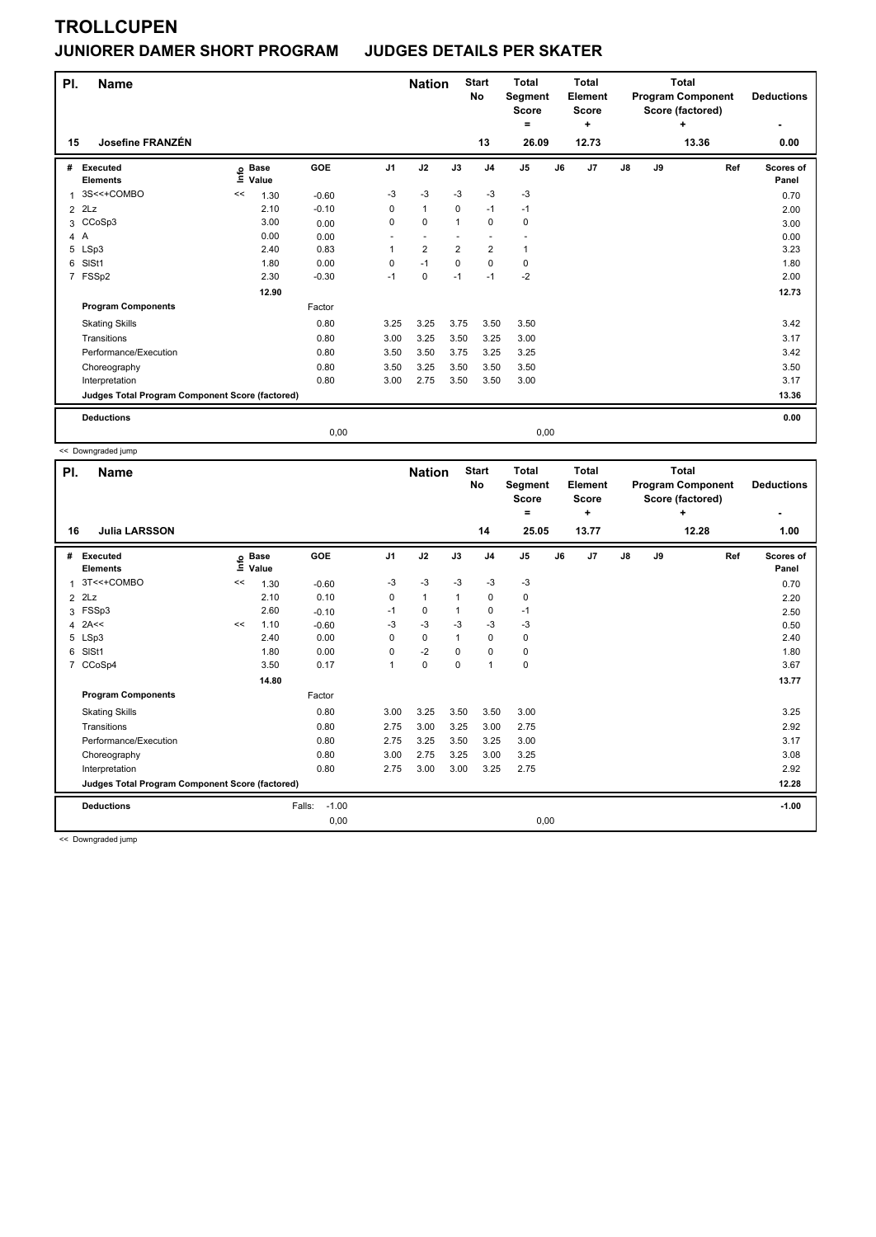### **JUNIORER DAMER SHORT PROGRAM JUDGES DETAILS PER SKATER**

| PI. | <b>Name</b>                                     |                            |         | <b>Nation</b>  |                         | <b>Start</b><br>No | <b>Total</b><br><b>Segment</b><br><b>Score</b> |                | <b>Total</b><br>Element<br><b>Score</b> |                |       | <b>Total</b><br><b>Program Component</b><br>Score (factored) | <b>Deductions</b> |                    |
|-----|-------------------------------------------------|----------------------------|---------|----------------|-------------------------|--------------------|------------------------------------------------|----------------|-----------------------------------------|----------------|-------|--------------------------------------------------------------|-------------------|--------------------|
| 15  | Josefine FRANZÉN                                |                            |         |                |                         |                    | 13                                             | ۰<br>26.09     |                                         | ٠<br>12.73     |       |                                                              | ÷<br>13.36        | ٠<br>0.00          |
|     |                                                 |                            |         |                |                         |                    |                                                |                |                                         |                |       |                                                              |                   |                    |
| #   | Executed<br><b>Elements</b>                     | e Base<br>E Value<br>Value | GOE     | J <sub>1</sub> | J2                      | J3                 | J <sub>4</sub>                                 | J <sub>5</sub> | J6                                      | J <sub>7</sub> | J8    | J9                                                           | Ref               | Scores of<br>Panel |
| 1   | 3S<<+COMBO                                      | 1.30<br><<                 | $-0.60$ | $-3$           | $-3$                    | $-3$               | $-3$                                           | $-3$           |                                         |                |       |                                                              |                   | 0.70               |
|     | $2$ $2Lz$                                       | 2.10                       | $-0.10$ | 0              | $\mathbf{1}$            | 0                  | $-1$                                           | $-1$           |                                         |                |       |                                                              |                   | 2.00               |
|     | 3 CCoSp3                                        | 3.00                       | 0.00    | 0              | $\mathbf 0$             | $\overline{1}$     | $\mathbf 0$                                    | 0              |                                         |                |       |                                                              |                   | 3.00               |
| 4 A |                                                 | 0.00                       | 0.00    |                |                         |                    | $\overline{\phantom{a}}$                       |                |                                         |                |       |                                                              |                   | 0.00               |
|     | 5 LSp3                                          | 2.40                       | 0.83    |                | $\overline{\mathbf{c}}$ | $\overline{2}$     | $\overline{\mathbf{c}}$                        | 1              |                                         |                |       |                                                              |                   | 3.23               |
| 6   | SISt1                                           | 1.80                       | 0.00    | 0              | $-1$                    | 0                  | $\mathbf 0$                                    | 0              |                                         |                |       |                                                              |                   | 1.80               |
|     | 7 FSSp2                                         | 2.30                       | $-0.30$ | $-1$           | $\mathbf 0$             | $-1$               | $-1$                                           | $-2$           |                                         |                |       |                                                              |                   | 2.00               |
|     |                                                 | 12.90                      |         |                |                         |                    |                                                |                |                                         |                |       |                                                              |                   | 12.73              |
|     | <b>Program Components</b>                       |                            | Factor  |                |                         |                    |                                                |                |                                         |                |       |                                                              |                   |                    |
|     | <b>Skating Skills</b>                           |                            | 0.80    | 3.25           | 3.25                    | 3.75               | 3.50                                           | 3.50           |                                         |                |       |                                                              |                   | 3.42               |
|     | Transitions                                     |                            | 0.80    | 3.00           | 3.25                    | 3.50               | 3.25                                           | 3.00           |                                         |                |       |                                                              |                   | 3.17               |
|     | Performance/Execution                           |                            | 0.80    | 3.50           | 3.50                    | 3.75               | 3.25                                           | 3.25           |                                         |                |       |                                                              |                   | 3.42               |
|     | Choreography                                    |                            | 0.80    | 3.50           | 3.25                    | 3.50               | 3.50                                           | 3.50           |                                         |                |       |                                                              |                   | 3.50               |
|     | Interpretation                                  |                            | 0.80    | 3.00           | 2.75                    | 3.50               | 3.50                                           | 3.00           |                                         |                |       |                                                              |                   | 3.17               |
|     | Judges Total Program Component Score (factored) |                            |         |                |                         |                    |                                                |                |                                         |                | 13.36 |                                                              |                   |                    |
|     | <b>Deductions</b>                               |                            |         |                |                         |                    |                                                |                |                                         |                |       |                                                              |                   | 0.00               |
|     |                                                 |                            | 0,00    |                |                         |                    |                                                | 0,00           |                                         |                |       |                                                              |                   |                    |

<< Downgraded jump

| PI.<br><b>Name</b> |                                                 |      |                      |                   |                | <b>Nation</b> |              | <b>Start</b><br>No | <b>Total</b><br>Segment<br><b>Score</b><br>= |    | <b>Total</b><br>Element<br><b>Score</b><br>٠ |               | <b>Total</b><br><b>Program Component</b><br>Score (factored) | <b>Deductions</b><br>٠ |                    |
|--------------------|-------------------------------------------------|------|----------------------|-------------------|----------------|---------------|--------------|--------------------|----------------------------------------------|----|----------------------------------------------|---------------|--------------------------------------------------------------|------------------------|--------------------|
| 16                 | <b>Julia LARSSON</b>                            |      |                      |                   |                |               |              | 14                 | 25.05                                        |    | 13.77                                        |               |                                                              | 12.28                  | 1.00               |
| #                  | <b>Executed</b><br><b>Elements</b>              | ١nfo | <b>Base</b><br>Value | GOE               | J <sub>1</sub> | J2            | J3           | J <sub>4</sub>     | J <sub>5</sub>                               | J6 | J7                                           | $\mathsf{J}8$ | J9                                                           | Ref                    | Scores of<br>Panel |
| $\overline{1}$     | 3T<<+COMBO                                      | <<   | 1.30                 | $-0.60$           | -3             | $-3$          | $-3$         | $-3$               | $-3$                                         |    |                                              |               |                                                              |                        | 0.70               |
| $\overline{2}$     | 2Lz                                             |      | 2.10                 | 0.10              | 0              | $\mathbf{1}$  | $\mathbf{1}$ | $\mathbf 0$        | 0                                            |    |                                              |               |                                                              |                        | 2.20               |
| 3                  | FSSp3                                           |      | 2.60                 | $-0.10$           | $-1$           | $\pmb{0}$     |              | 0                  | $-1$                                         |    |                                              |               |                                                              |                        | 2.50               |
| 4                  | 2A<<                                            | <<   | 1.10                 | $-0.60$           | $-3$           | $-3$          | -3           | $-3$               | $-3$                                         |    |                                              |               |                                                              |                        | 0.50               |
| 5                  | LSp3                                            |      | 2.40                 | 0.00              | $\Omega$       | 0             |              | 0                  | 0                                            |    |                                              |               |                                                              |                        | 2.40               |
| 6                  | SISt1                                           |      | 1.80                 | 0.00              | 0              | $-2$          | 0            | $\mathbf 0$        | $\pmb{0}$                                    |    |                                              |               |                                                              |                        | 1.80               |
| 7                  | CCoSp4                                          |      | 3.50                 | 0.17              | $\mathbf{1}$   | $\mathbf 0$   | 0            | $\mathbf{1}$       | 0                                            |    |                                              |               |                                                              |                        | 3.67               |
|                    |                                                 |      | 14.80                |                   |                |               |              |                    |                                              |    |                                              |               |                                                              |                        | 13.77              |
|                    | <b>Program Components</b>                       |      |                      | Factor            |                |               |              |                    |                                              |    |                                              |               |                                                              |                        |                    |
|                    | <b>Skating Skills</b>                           |      |                      | 0.80              | 3.00           | 3.25          | 3.50         | 3.50               | 3.00                                         |    |                                              |               |                                                              |                        | 3.25               |
|                    | Transitions                                     |      |                      | 0.80              | 2.75           | 3.00          | 3.25         | 3.00               | 2.75                                         |    |                                              |               |                                                              |                        | 2.92               |
|                    | Performance/Execution                           |      |                      | 0.80              | 2.75           | 3.25          | 3.50         | 3.25               | 3.00                                         |    |                                              |               |                                                              |                        | 3.17               |
|                    | Choreography                                    |      |                      | 0.80              | 3.00           | 2.75          | 3.25         | 3.00               | 3.25                                         |    |                                              |               |                                                              |                        | 3.08               |
|                    | Interpretation                                  |      |                      | 0.80              | 2.75           | 3.00          | 3.00         | 3.25               | 2.75                                         |    |                                              |               |                                                              |                        | 2.92               |
|                    | Judges Total Program Component Score (factored) |      |                      |                   |                |               |              |                    |                                              |    |                                              | 12.28         |                                                              |                        |                    |
|                    | <b>Deductions</b>                               |      |                      | $-1.00$<br>Falls: |                |               |              |                    |                                              |    |                                              |               |                                                              |                        | $-1.00$            |
|                    |                                                 |      |                      | 0,00              |                |               |              |                    | 0,00                                         |    |                                              |               |                                                              |                        |                    |

<< Downgraded jump